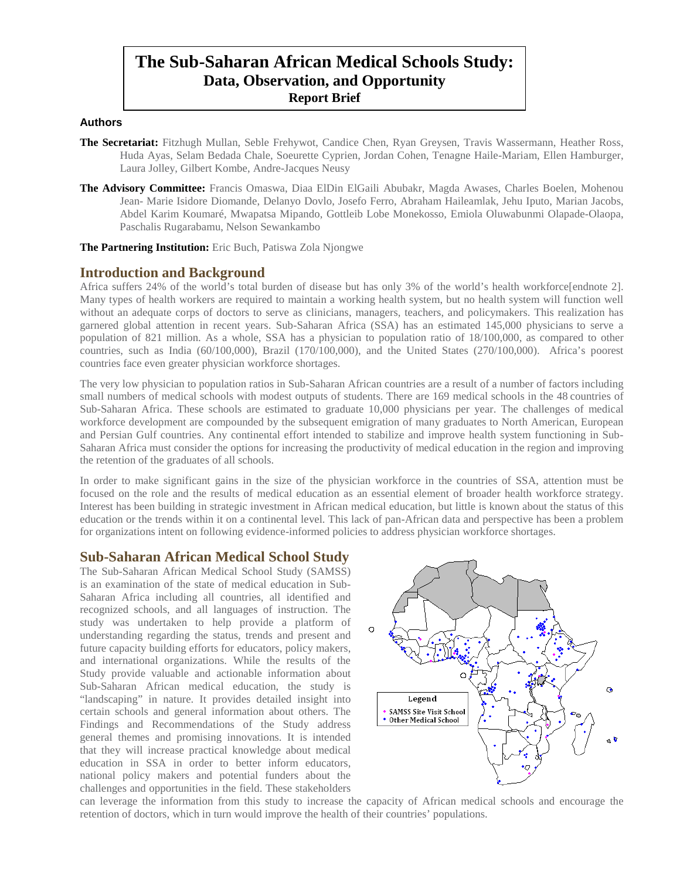# **The Sub-Saharan African Medical Schools Study: Data, Observation, and Opportunity Report Brief**

#### **Authors**

- **The Secretariat:** Fitzhugh Mullan, Seble Frehywot, Candice Chen, Ryan Greysen, Travis Wassermann, Heather Ross, Huda Ayas, Selam Bedada Chale, Soeurette Cyprien, Jordan Cohen, Tenagne Haile-Mariam, Ellen Hamburger, Laura Jolley, Gilbert Kombe, Andre-Jacques Neusy
- **The Advisory Committee:** Francis Omaswa, Diaa ElDin ElGaili Abubakr, Magda Awases, Charles Boelen, Mohenou Jean- Marie Isidore Diomande, Delanyo Dovlo, Josefo Ferro, Abraham Haileamlak, Jehu Iputo, Marian Jacobs, Abdel Karim Koumaré, Mwapatsa Mipando, Gottleib Lobe Monekosso, Emiola Oluwabunmi Olapade-Olaopa, Paschalis Rugarabamu, Nelson Sewankambo

**The Partnering Institution:** Eric Buch, Patiswa Zola Njongwe

## **Introduction and Background**

Africa suffers 24% of the world's total burden of disease but has only 3% of the world's health workforce[endnote 2]. Many types of health workers are required to maintain a working health system, but no health system will function well without an adequate corps of doctors to serve as clinicians, managers, teachers, and policymakers. This realization has garnered global attention in recent years. Sub-Saharan Africa (SSA) has an estimated 145,000 physicians to serve a population of 821 million. As a whole, SSA has a physician to population ratio of 18/100,000, as compared to other countries, such as India (60/100,000), Brazil (170/100,000), and the United States (270/100,000). Africa's poorest countries face even greater physician workforce shortages.

The very low physician to population ratios in Sub-Saharan African countries are a result of a number of factors including small numbers of medical schools with modest outputs of students. There are 169 medical schools in the 48 countries of Sub-Saharan Africa. These schools are estimated to graduate 10,000 physicians per year. The challenges of medical workforce development are compounded by the subsequent emigration of many graduates to North American, European and Persian Gulf countries. Any continental effort intended to stabilize and improve health system functioning in Sub-Saharan Africa must consider the options for increasing the productivity of medical education in the region and improving the retention of the graduates of all schools.

In order to make significant gains in the size of the physician workforce in the countries of SSA, attention must be focused on the role and the results of medical education as an essential element of broader health workforce strategy. Interest has been building in strategic investment in African medical education, but little is known about the status of this education or the trends within it on a continental level. This lack of pan-African data and perspective has been a problem for organizations intent on following evidence-informed policies to address physician workforce shortages.

## **Sub-Saharan African Medical School Study**

The Sub-Saharan African Medical School Study (SAMSS) is an examination of the state of medical education in Sub-Saharan Africa including all countries, all identified and recognized schools, and all languages of instruction. The study was undertaken to help provide a platform of understanding regarding the status, trends and present and future capacity building efforts for educators, policy makers, and international organizations. While the results of the Study provide valuable and actionable information about Sub-Saharan African medical education, the study is "landscaping" in nature. It provides detailed insight into certain schools and general information about others. The Findings and Recommendations of the Study address general themes and promising innovations. It is intended that they will increase practical knowledge about medical education in SSA in order to better inform educators, national policy makers and potential funders about the challenges and opportunities in the field. These stakeholders



can leverage the information from this study to increase the capacity of African medical schools and encourage the retention of doctors, which in turn would improve the health of their countries' populations.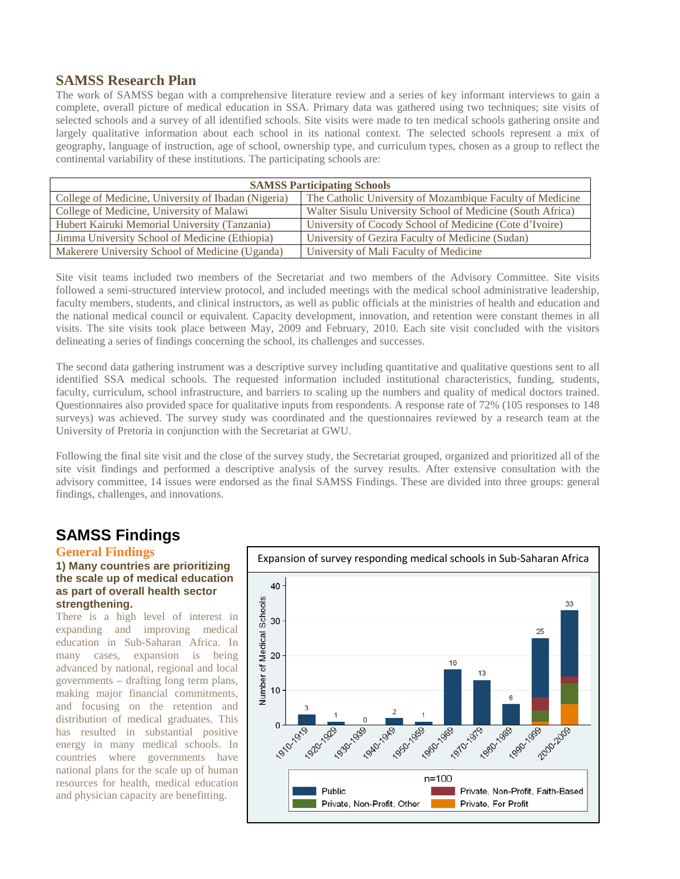# **SAMSS Research Plan**

The work of SAMSS began with a comprehensive literature review and a series of key informant interviews to gain a complete, overall picture of medical education in SSA. Primary data was gathered using two techniques; site visits of selected schools and a survey of all identified schools. Site visits were made to ten medical schools gathering onsite and largely qualitative information about each school in its national context. The selected schools represent a mix of geography, language of instruction, age of school, ownership type, and curriculum types, chosen as a group to reflect the continental variability of these institutions. The participating schools are:

| <b>SAMSS Participating Schools</b>                  |                                                            |
|-----------------------------------------------------|------------------------------------------------------------|
| College of Medicine, University of Ibadan (Nigeria) | The Catholic University of Mozambique Faculty of Medicine  |
| College of Medicine, University of Malawi           | Walter Sisulu University School of Medicine (South Africa) |
| Hubert Kairuki Memorial University (Tanzania)       | University of Cocody School of Medicine (Cote d'Ivoire)    |
| Jimma University School of Medicine (Ethiopia)      | University of Gezira Faculty of Medicine (Sudan)           |
| Makerere University School of Medicine (Uganda)     | University of Mali Faculty of Medicine                     |

Site visit teams included two members of the Secretariat and two members of the Advisory Committee. Site visits followed a semi-structured interview protocol, and included meetings with the medical school administrative leadership, faculty members, students, and clinical instructors, as well as public officials at the ministries of health and education and the national medical council or equivalent. Capacity development, innovation, and retention were constant themes in all visits. The site visits took place between May, 2009 and February, 2010. Each site visit concluded with the visitors delineating a series of findings concerning the school, its challenges and successes.

The second data gathering instrument was a descriptive survey including quantitative and qualitative questions sent to all identified SSA medical schools. The requested information included institutional characteristics, funding, students, faculty, curriculum, school infrastructure, and barriers to scaling up the numbers and quality of medical doctors trained. Questionnaires also provided space for qualitative inputs from respondents. A response rate of 72% (105 responses to 148 surveys) was achieved. The survey study was coordinated and the questionnaires reviewed by a research team at the University of Pretoria in conjunction with the Secretariat at GWU.

Following the final site visit and the close of the survey study, the Secretariat grouped, organized and prioritized all of the site visit findings and performed a descriptive analysis of the survey results. After extensive consultation with the advisory committee, 14 issues were endorsed as the final SAMSS Findings. These are divided into three groups: general findings, challenges, and innovations.

# **SAMSS Findings**

## **General Findings**

### **1) Many countries are prioritizing the scale up of medical education as part of overall health sector strengthening.**

There is a high level of interest in expanding and improving medical education in Sub-Saharan Africa. In many cases, expansion is being advanced by national, regional and local governments – drafting long term plans, making major financial commitments, and focusing on the retention and distribution of medical graduates. This has resulted in substantial positive energy in many medical schools. In countries where governments have national plans for the scale up of human resources for health, medical education and physician capacity are benefitting.

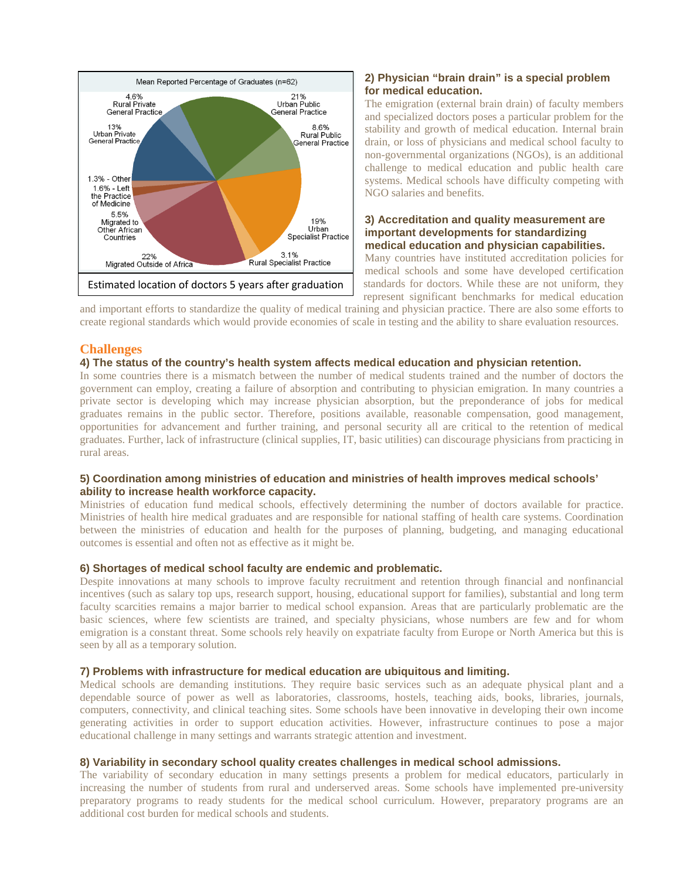

## **2) Physician "brain drain" is a special problem for medical education.**

The emigration (external brain drain) of faculty members and specialized doctors poses a particular problem for the stability and growth of medical education. Internal brain drain, or loss of physicians and medical school faculty to non-governmental organizations (NGOs), is an additional challenge to medical education and public health care systems. Medical schools have difficulty competing with NGO salaries and benefits.

#### **3) Accreditation and quality measurement are important developments for standardizing medical education and physician capabilities.**

Many countries have instituted accreditation policies for medical schools and some have developed certification standards for doctors. While these are not uniform, they represent significant benchmarks for medical education

and important efforts to standardize the quality of medical training and physician practice. There are also some efforts to create regional standards which would provide economies of scale in testing and the ability to share evaluation resources.

## **Challenges**

#### **4) The status of the country's health system affects medical education and physician retention.**

In some countries there is a mismatch between the number of medical students trained and the number of doctors the government can employ, creating a failure of absorption and contributing to physician emigration. In many countries a private sector is developing which may increase physician absorption, but the preponderance of jobs for medical graduates remains in the public sector. Therefore, positions available, reasonable compensation, good management, opportunities for advancement and further training, and personal security all are critical to the retention of medical graduates. Further, lack of infrastructure (clinical supplies, IT, basic utilities) can discourage physicians from practicing in rural areas.

## **5) Coordination among ministries of education and ministries of health improves medical schools' ability to increase health workforce capacity.**

Ministries of education fund medical schools, effectively determining the number of doctors available for practice. Ministries of health hire medical graduates and are responsible for national staffing of health care systems. Coordination between the ministries of education and health for the purposes of planning, budgeting, and managing educational outcomes is essential and often not as effective as it might be.

#### **6) Shortages of medical school faculty are endemic and problematic.**

Despite innovations at many schools to improve faculty recruitment and retention through financial and nonfinancial incentives (such as salary top ups, research support, housing, educational support for families), substantial and long term faculty scarcities remains a major barrier to medical school expansion. Areas that are particularly problematic are the basic sciences, where few scientists are trained, and specialty physicians, whose numbers are few and for whom emigration is a constant threat. Some schools rely heavily on expatriate faculty from Europe or North America but this is seen by all as a temporary solution.

#### **7) Problems with infrastructure for medical education are ubiquitous and limiting.**

Medical schools are demanding institutions. They require basic services such as an adequate physical plant and a dependable source of power as well as laboratories, classrooms, hostels, teaching aids, books, libraries, journals, computers, connectivity, and clinical teaching sites. Some schools have been innovative in developing their own income generating activities in order to support education activities. However, infrastructure continues to pose a major educational challenge in many settings and warrants strategic attention and investment.

#### **8) Variability in secondary school quality creates challenges in medical school admissions.**

The variability of secondary education in many settings presents a problem for medical educators, particularly in increasing the number of students from rural and underserved areas. Some schools have implemented pre-university preparatory programs to ready students for the medical school curriculum. However, preparatory programs are an additional cost burden for medical schools and students.